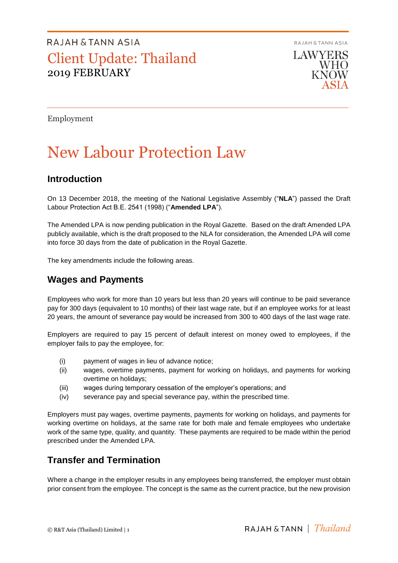**RAJAH & TANN ASIA** 

**LAWYERS WHO KNOW** 

Employment

# New Labour Protection Law

## **Introduction**

On 13 December 2018, the meeting of the National Legislative Assembly ("**NLA**") passed the Draft Labour Protection Act B.E. 2541 (1998) ("**Amended LPA**").

The Amended LPA is now pending publication in the Royal Gazette. Based on the draft Amended LPA publicly available, which is the draft proposed to the NLA for consideration, the Amended LPA will come into force 30 days from the date of publication in the Royal Gazette.

The key amendments include the following areas.

### **Wages and Payments**

Employees who work for more than 10 years but less than 20 years will continue to be paid severance pay for 300 days (equivalent to 10 months) of their last wage rate, but if an employee works for at least 20 years, the amount of severance pay would be increased from 300 to 400 days of the last wage rate.

Employers are required to pay 15 percent of default interest on money owed to employees, if the employer fails to pay the employee, for:

- (i) payment of wages in lieu of advance notice;
- (ii) wages, overtime payments, payment for working on holidays, and payments for working overtime on holidays;
- (iii) wages during temporary cessation of the employer's operations; and
- (iv) severance pay and special severance pay, within the prescribed time.

Employers must pay wages, overtime payments, payments for working on holidays, and payments for working overtime on holidays, at the same rate for both male and female employees who undertake work of the same type, quality, and quantity. These payments are required to be made within the period prescribed under the Amended LPA.

## **Transfer and Termination**

Where a change in the employer results in any employees being transferred, the employer must obtain prior consent from the employee. The concept is the same as the current practice, but the new provision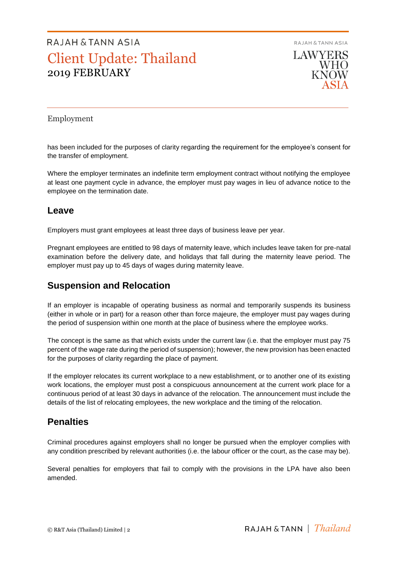**RAJAH & TANN ASIA LAWYERS WHO** 

**KNOW** 

### Employment

has been included for the purposes of clarity regarding the requirement for the employee's consent for the transfer of employment.

Where the employer terminates an indefinite term employment contract without notifying the employee at least one payment cycle in advance, the employer must pay wages in lieu of advance notice to the employee on the termination date.

### **Leave**

Employers must grant employees at least three days of business leave per year.

Pregnant employees are entitled to 98 days of maternity leave, which includes leave taken for pre-natal examination before the delivery date, and holidays that fall during the maternity leave period. The employer must pay up to 45 days of wages during maternity leave.

## **Suspension and Relocation**

If an employer is incapable of operating business as normal and temporarily suspends its business (either in whole or in part) for a reason other than force majeure, the employer must pay wages during the period of suspension within one month at the place of business where the employee works.

The concept is the same as that which exists under the current law (i.e. that the employer must pay 75 percent of the wage rate during the period of suspension); however, the new provision has been enacted for the purposes of clarity regarding the place of payment.

If the employer relocates its current workplace to a new establishment, or to another one of its existing work locations, the employer must post a conspicuous announcement at the current work place for a continuous period of at least 30 days in advance of the relocation. The announcement must include the details of the list of relocating employees, the new workplace and the timing of the relocation.

### **Penalties**

Criminal procedures against employers shall no longer be pursued when the employer complies with any condition prescribed by relevant authorities (i.e. the labour officer or the court, as the case may be).

Several penalties for employers that fail to comply with the provisions in the LPA have also been amended.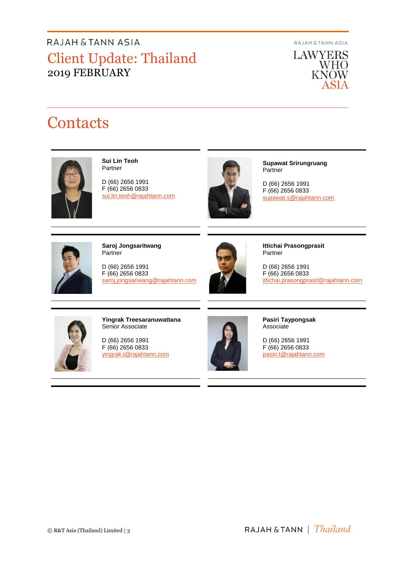**RAJAH & TANN ASIA** 

**LAWYERS** WHO<br>KNOW ASIA

# **Contacts**



**Sui Lin Teoh** Partner

D (66) 2656 1991 F (66) 2656 0833 [sui.lin.teoh@rajahtann.com](mailto:sui.lin.teoh@rajahtann.com)



**Supawat Srirungruang Partner** 

D (66) 2656 1991 F (66) 2656 0833 [supawat.s@rajahtann.com](mailto:supawat.s@rajahtann.com)



**Saroj Jongsaritwang Partner** 

D (66) 2656 1991 F (66) 2656 0833 [saroj.jongsariwang@rajahtann.com](mailto:saroj.jongsariwang@rajahtann.com)



**Ittichai Prasongprasit** Partner

D (66) 2656 1991 F (66) 2656 0833 ittichai.prasongprasit@rajahtann.com



**Yingrak Treesaranuwattana** Senior Associate

D (66) 2656 1991 F (66) 2656 0833 [yingrak.t@rajahtann.com](mailto:yingrak.t@rajahtann.com)



**Pasiri Taypongsak Associate** 

D (66) 2656 1991 F (66) 2656 0833 [pasiri.t@rajahtann.com](mailto:pasiri.t@rajahtann.com)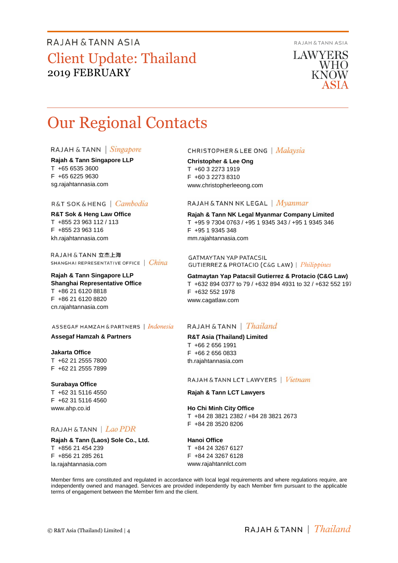**RAJAH & TANN ASIA** 

**LAWYERS WHO** KNOW

# Our Regional Contacts

#### RAJAH & TANN | Singapore

**Rajah & Tann Singapore LLP** T +65 6535 3600 F +65 6225 9630 sg.rajahtannasia.com

#### R&T SOK & HENG | Cambodia

**R&T Sok & Heng Law Office** T +855 23 963 112 / 113 F +855 23 963 116 kh.rajahtannasia.com

RAJAH & TANN 立杰上海 SHANGHAI REPRESENTATIVE OFFICE | China

#### **Rajah & Tann Singapore LLP Shanghai Representative Office** T +86 21 6120 8818 F +86 21 6120 8820 cn.rajahtannasia.com

#### ASSEGAF HAMZAH & PARTNERS | Indonesia

#### **Assegaf Hamzah & Partners**

**Jakarta Office** T +62 21 2555 7800 F +62 21 2555 7899

#### **Surabaya Office**

T +62 31 5116 4550 F +62 31 5116 4560 www.ahp.co.id

#### RAJAH & TANN | Lao PDR

**Rajah & Tann (Laos) Sole Co., Ltd.** T +856 21 454 239 F +856 21 285 261 la.rajahtannasia.com

#### **CHRISTOPHER & LEE ONG** | Malaysia

**Christopher & Lee Ong** T +60 3 2273 1919 F +60 3 2273 8310 www.christopherleeong.com

#### RAJAH & TANN NK LEGAL | *Myanmar*

**Rajah & Tann NK Legal Myanmar Company Limited** T +95 9 7304 0763 / +95 1 9345 343 / +95 1 9345 346 F +95 1 9345 348 mm.rajahtannasia.com

**GATMAYTAN YAP PATACSIL** GUTIERREZ & PROTACIO (C&G LAW) | Philippines

**Gatmaytan Yap Patacsil Gutierrez & Protacio (C&G Law)**  T +632 894 0377 to 79 / +632 894 4931 to 32 / +632 552 1977 F +632 552 1978 www.cagatlaw.com

#### RAJAH & TANN | *Thailand*

**R&T Asia (Thailand) Limited** T +66 2 656 1991 F +66 2 656 0833 th.rajahtannasia.com

#### RAJAH & TANN LCT LAWYERS | Vietnam

#### **Rajah & Tann LCT Lawyers**

**Ho Chi Minh City Office** T +84 28 3821 2382 / +84 28 3821 2673 F +84 28 3520 8206

#### **Hanoi Office**

T +84 24 3267 6127 F +84 24 3267 6128 www.rajahtannlct.com

Member firms are constituted and regulated in accordance with local legal requirements and where regulations require, are independently owned and managed. Services are provided independently by each Member firm pursuant to the applicable terms of engagement between the Member firm and the client.